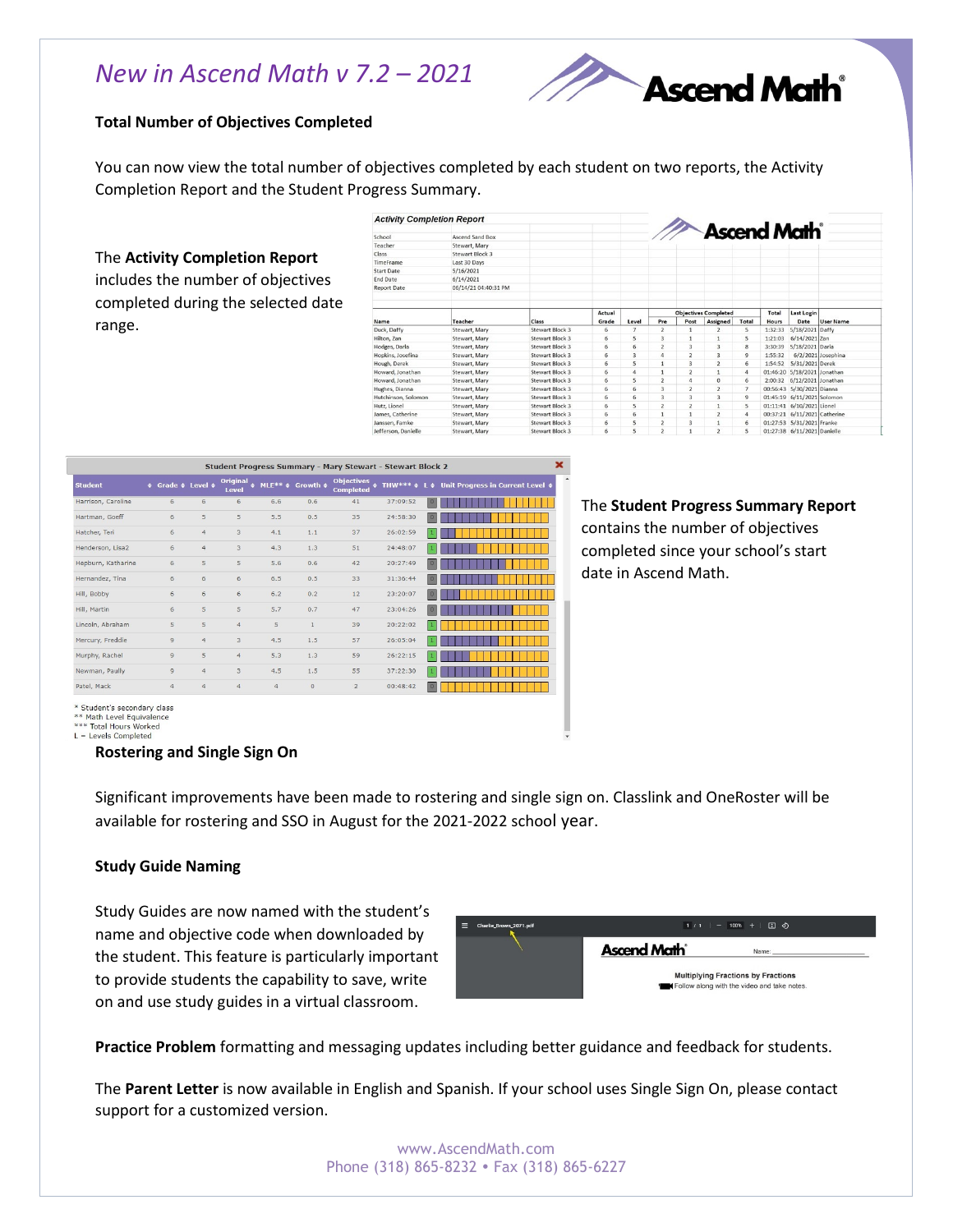## *New in Ascend Math v 7.2 – 2021*



## **Total Number of Objectives Completed**

You can now view the total number of objectives completed by each student on two reports, the Activity Completion Report and the Student Progress Summary.

The **Activity Completion Report** 

includes the number of objectives completed during the selected date range.

| <b>Activity Completion Report</b> |                      |                        |        |       |                             |                |                                |                         |         |                              |                    |
|-----------------------------------|----------------------|------------------------|--------|-------|-----------------------------|----------------|--------------------------------|-------------------------|---------|------------------------------|--------------------|
|                                   |                      |                        |        |       |                             |                | <b>Ascend Math<sup>®</sup></b> |                         |         |                              |                    |
| School                            | Ascend Sand Box      |                        |        |       |                             |                |                                |                         |         |                              |                    |
| Teacher                           | Stewart, Mary        |                        |        |       |                             |                |                                |                         |         |                              |                    |
| Class                             | Stewart Block 3      |                        |        |       |                             |                |                                |                         |         |                              |                    |
| TimeFrame                         | Last 30 Days         |                        |        |       |                             |                |                                |                         |         |                              |                    |
| <b>Start Date</b>                 | 5/16/2021            |                        |        |       |                             |                |                                |                         |         |                              |                    |
| <b>End Date</b>                   | 6/14/2021            |                        |        |       |                             |                |                                |                         |         |                              |                    |
| <b>Report Date</b>                | 06/14/21 04:40:31 PM |                        |        |       |                             |                |                                |                         |         |                              |                    |
|                                   |                      |                        |        |       |                             |                |                                |                         |         |                              |                    |
|                                   |                      |                        |        |       |                             |                |                                |                         |         |                              |                    |
|                                   |                      |                        | Actual |       | <b>Objectives Completed</b> |                |                                |                         | Total   | Last Login                   |                    |
| Name                              | Teacher              | Class                  | Grade  | Level | Pre                         | Post           | Assigned                       | Total                   | Hours   | Date                         | <b>User Name</b>   |
| Duck, Daffy                       | Stewart, Mary        | Stewart Block 3        | 6      | 7     | $\overline{2}$              | $\mathbf{1}$   | $\overline{2}$                 | 5                       | 1:32:33 | 5/18/2021 Daffy              |                    |
| Hilton, Zan                       | Stewart, Mary        | Stewart Block 3        | 6      | 5     | 3                           | $\mathbf{1}$   | $\mathbf{1}$                   | 5                       | 1:21:03 | 6/14/2021 Zan                |                    |
| Hodges, Darla                     | Stewart, Mary        | Stewart Block 3        | 6      | 6     | $\overline{2}$              | 3              | 3                              | 8                       | 3:30:39 | 5/18/2021 Darla              |                    |
| Hopkins, Josefina                 | Stewart, Mary        | Stewart Block 3        | 6      | 3     | $\overline{a}$              | $\overline{2}$ | 3                              | Q                       | 1:55:32 |                              | 6/2/2021 Josephina |
| Hough, Derek                      | Stewart, Mary        | Stewart Block 3        | 6      | 5     | $\mathbf{1}$                | 3              | $\overline{2}$                 | 6                       | 1:54:52 | 5/31/2021 Derek              |                    |
| Howard, Jonathan                  | Stewart, Mary        | Stewart Block 3        | 6      | 4     | $\mathbf{1}$                | $\overline{c}$ | $\mathbf{1}$                   | 4                       |         | 01:46:20 5/18/2021 Jonathan  |                    |
| Howard, Jonathan                  | Stewart, Mary        | <b>Stewart Block 3</b> | 6      | 5     | $\overline{2}$              | 4              | $\mathbf{0}$                   | 6                       | 2:00:32 | 6/12/2021 Jonathan           |                    |
| Hughes, Dianna                    | Stewart, Mary        | Stewart Block 3        | 6      | 6     | $\overline{\mathbf{3}}$     | $\overline{2}$ | $\overline{2}$                 | $\overline{7}$          |         | 00:56:43 5/30/2021 Dianna    |                    |
| Hutchinson, Solomon               | Stewart, Mary        | Stewart Block 3        | 6      | 6     | 3                           | 3              | 3                              | 9                       |         | 01:45:19 6/11/2021 Solomon   |                    |
| Hutz, Lionel                      | Stewart, Mary        | Stewart Block 3        | 6      | 5     | $\overline{2}$              | $\overline{2}$ | $\mathbf{1}$                   | 5                       |         | 01:11:41 6/10/2021 Lionel    |                    |
| James, Catherine                  | Stewart, Mary        | Stewart Block 3        | 6      | 6     | $\mathbf{1}$                | $\mathbf{1}$   | $\overline{2}$                 | 4                       |         | 00:37:21 6/11/2021 Catherine |                    |
| Janssen, Famke                    | Stewart, Mary        | Stewart Block 3        | 6      | 5     | $\overline{2}$              | 3              | $\mathbf{1}$                   | 6                       |         | 01:27:53 5/31/2021 Franke    |                    |
| Jefferson, Danielle               | Stewart, Mary        | Stewart Block 3        | 6      | 5     | $\overline{2}$              | $\mathbf{1}$   | $\overline{2}$                 | $\overline{\mathbf{5}}$ |         | 01:27:38 6/11/2021 Danielle  |                    |

| Student Progress Summary - Mary Stewart - Stewart Block 2 |               |                           |                        |                |                                                  |                                       |                      |                           |                                       |
|-----------------------------------------------------------|---------------|---------------------------|------------------------|----------------|--------------------------------------------------|---------------------------------------|----------------------|---------------------------|---------------------------------------|
| <b>Student</b>                                            | ٠             | Grade $\div$ Level $\div$ | Original<br>٠<br>Level |                | MLE** $\Leftrightarrow$ Growth $\Leftrightarrow$ | <b>Objectives</b><br><b>Completed</b> | $\div$ THW*** $\div$ | $\mathbf{1}$ $\mathbf{A}$ | Unit Progress in Current Level $\phi$ |
| Harrison, Caroline                                        | 6             | 6                         | 6                      | 6.6            | 0.6                                              | 41                                    | 37:09:52             | $\overline{0}$            |                                       |
| Hartman, Goeff                                            | 6             | 5                         | 5                      | 5.5            | 0.5                                              | 35                                    | 24:58:30             | 0                         |                                       |
| Hatcher, Teri                                             | 6             | $\overline{4}$            | 3                      | 4.1            | 1.1                                              | 37                                    | 26:02:59             | $\vert$ 1                 |                                       |
| Henderson, Lisa2                                          | 6             | $\ddot{4}$                | 3                      | 4.3            | 1.3                                              | 51                                    | 24:48:07             | J.                        |                                       |
| Hepburn, Katharine                                        | 6             | 5                         | 5                      | 5.6            | 0.6                                              | 42                                    | 20:27:49             | $\boxed{0}$               |                                       |
| Hernandez, Tina                                           | 6             | 6                         | 6                      | 6.5            | 0.5                                              | 33                                    | 31:36:44             | $\circ$                   |                                       |
| Hill, Bobby                                               | 6             | 6                         | 6                      | 6.2            | 0.2                                              | 12                                    | 23:20:07             | $\overline{0}$            |                                       |
| Hill, Martin                                              | 6             | 5                         | 5                      | 5.7            | 0.7                                              | 47                                    | 23:04:26             | $\vert 0 \vert$           |                                       |
| Lincoln, Abraham                                          | 5             | 5                         | $\overline{4}$         | 5              | $\mathbf{1}$                                     | 39                                    | 20:22:02             | 11                        |                                       |
| Mercury, Freddie                                          | $\mathcal{G}$ | $\overline{4}$            | 3                      | 4.5            | 1.5                                              | 57                                    | 26:05:04             | ۰                         |                                       |
| Murphy, Rachel                                            | $\mathcal{Q}$ | 5                         | $\overline{4}$         | 5.3            | 1.3                                              | 59                                    | 26:22:15             | H.                        |                                       |
| Newman, Paully                                            | $\mathbf{Q}$  | $\ddot{4}$                | 3                      | 4.5            | 1.5                                              | 55                                    | 37:22:30             |                           |                                       |
| Patel, Mack                                               | $\ddot{4}$    | $\overline{4}$            | $\overline{4}$         | $\overline{4}$ | $\,$ 0 $\,$                                      | $\overline{c}$                        | 00:48:42             | $\circ$                   |                                       |
| 승규는 어떻게 되었다. 이 사람들은 아이들은 아이들은 아이들이 아이들이 없었다.              |               |                           |                        |                |                                                  |                                       |                      |                           |                                       |

The **Student Progress Summary Report** contains the number of objectives completed since your school's start date in Ascend Math.

Student's secondary class \*\* Math Level Equivalence

\*\*\* Total Hours Worked<br>L = Levels Completed

#### **Rostering and Single Sign On**

Significant improvements have been made to rostering and single sign on. Classlink and OneRoster will be available for rostering and SSO in August for the 2021-2022 school year.

## **Study Guide Naming**

Study Guides are now named with the student's name and objective code when downloaded by the student. This feature is particularly important to provide students the capability to save, write on and use study guides in a virtual classroom.

| ▬ | Charlie_Brown_2071.pdf |                                                                                          | $1/1$ $ 100%$ $+$ $\boxed{7}$ $\odot$ |  |  |  |  |
|---|------------------------|------------------------------------------------------------------------------------------|---------------------------------------|--|--|--|--|
|   |                        | <b>Ascend Math</b>                                                                       | Name:                                 |  |  |  |  |
|   |                        | <b>Multiplying Fractions by Fractions</b><br>Follow along with the video and take notes. |                                       |  |  |  |  |

**Practice Problem** formatting and messaging updates including better guidance and feedback for students.

The **Parent Letter** is now available in English and Spanish. If your school uses Single Sign On, please contact support for a customized version.

> www.AscendMath.com Phone (318) 865-8232 • Fax (318) 865-6227